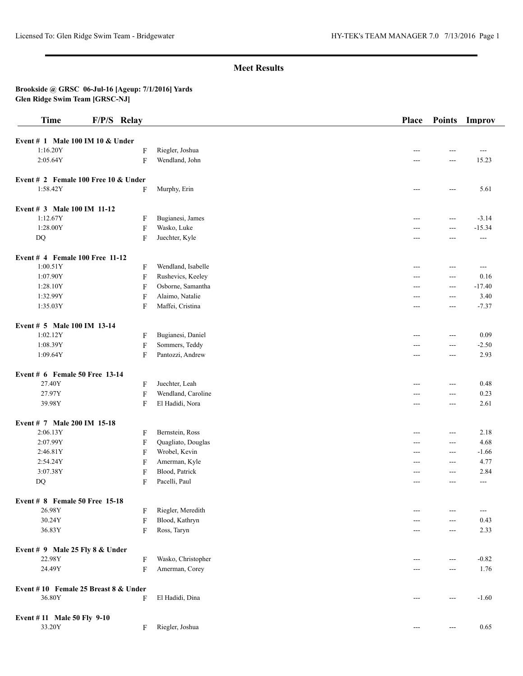## **Brookside @ GRSC 06-Jul-16 [Ageup: 7/1/2016] Yards Glen Ridge Swim Team [GRSC-NJ]**

| <b>Time</b>                                    | F/P/S Relay |                                                    | Place      | <b>Points</b>        | Improv                |
|------------------------------------------------|-------------|----------------------------------------------------|------------|----------------------|-----------------------|
| Event # 1 Male 100 IM 10 & Under               |             |                                                    |            |                      |                       |
| 1:16.20Y                                       |             | F<br>Riegler, Joshua                               | ---        | ---                  | $\overline{a}$        |
| 2:05.64Y                                       |             | $\mathbf F$<br>Wendland, John                      |            | ---                  | 15.23                 |
|                                                |             |                                                    |            |                      |                       |
| Event # 2 Female 100 Free 10 $&$ Under         |             |                                                    |            |                      |                       |
| 1:58.42Y                                       |             | F<br>Murphy, Erin                                  | ---        | $---$                | 5.61                  |
| Event # 3 Male 100 IM 11-12                    |             |                                                    |            |                      |                       |
| 1:12.67Y                                       |             | Bugianesi, James<br>F                              | ---        | $---$                | $-3.14$               |
| 1:28.00Y                                       |             | $\boldsymbol{\mathrm{F}}$<br>Wasko, Luke           | ---        | $\overline{a}$       | $-15.34$              |
| DQ                                             |             | Juechter, Kyle<br>$\mathbf F$                      | ---        | ---                  | $\scriptstyle \cdots$ |
|                                                |             |                                                    |            |                      |                       |
| Event $#$ 4 Female 100 Free 11-12              |             |                                                    |            |                      |                       |
| 1:00.51Y                                       |             | Wendland, Isabelle<br>F                            | ---        | $---$                | ---                   |
| 1:07.90Y                                       |             | $\boldsymbol{\mathrm{F}}$<br>Rushevics, Keeley     | ---        | $\overline{a}$       | 0.16                  |
| 1:28.10Y                                       |             | Osborne, Samantha<br>F                             | ---        | $\sim$ $\sim$        | $-17.40$              |
| 1:32.99Y<br>1:35.03Y                           |             | Alaimo, Natalie<br>$\mathbf F$<br>Maffei, Cristina | ---        | $\sim$ $\sim$        | 3.40<br>$-7.37$       |
|                                                |             | F                                                  | $---$      | $- - -$              |                       |
| Event # 5 Male 100 IM 13-14                    |             |                                                    |            |                      |                       |
| 1:02.12Y                                       |             | Bugianesi, Daniel<br>F                             |            | ---                  | 0.09                  |
| 1:08.39Y                                       |             | $\boldsymbol{\mathrm{F}}$<br>Sommers, Teddy        | ---        | $---$                | $-2.50$               |
| 1:09.64Y                                       |             | Pantozzi, Andrew<br>$\mathbf F$                    | ---        | ---                  | 2.93                  |
| Event # 6 Female 50 Free 13-14                 |             |                                                    |            |                      |                       |
| 27.40Y                                         |             | F<br>Juechter, Leah                                |            | $---$                | 0.48                  |
| 27.97Y                                         |             | $\mathbf F$<br>Wendland, Caroline                  | ---        | $---$                | 0.23                  |
| 39.98Y                                         |             | El Hadidi, Nora<br>F                               | ---        | $- - -$              | 2.61                  |
|                                                |             |                                                    |            |                      |                       |
| Event # 7 Male 200 IM 15-18                    |             |                                                    |            |                      |                       |
| 2:06.13Y                                       |             | Bernstein, Ross<br>F                               | ---        | $---$                | 2.18                  |
| 2:07.99Y<br>2:46.81Y                           |             | Quagliato, Douglas<br>F<br>Wrobel, Kevin           | $---$      | $\sim$ $\sim$        | 4.68                  |
| 2:54.24Y                                       |             | $\mathbf F$<br>Amerman, Kyle<br>$\mathbf F$        | ---<br>--- | $- - -$<br>$- - -$   | $-1.66$<br>4.77       |
| 3:07.38Y                                       |             | Blood, Patrick<br>$\mathbf F$                      | $---$      | $- - -$              | 2.84                  |
| $\mathbf{D}\mathbf{Q}$                         |             | Pacelli, Paul<br>F                                 | ---        | $---$                | ---                   |
|                                                |             |                                                    |            |                      |                       |
| Event # 8 Female 50 Free 15-18                 |             |                                                    |            |                      |                       |
| 26.98Y                                         |             | Riegler, Meredith<br>F                             |            | ---                  | ---                   |
| 30.24Y                                         |             | Blood, Kathryn<br>F                                |            | ---                  | 0.43                  |
| 36.83Y                                         |             | Ross, Taryn<br>F                                   | $---$      | $- - -$              | 2.33                  |
| Event $# 9$ Male 25 Fly 8 & Under              |             |                                                    |            |                      |                       |
| 22.98Y                                         |             | Wasko, Christopher<br>F                            | ---        | $\sim$ $\sim$        | $-0.82$               |
| 24.49Y                                         |             | Amerman, Corey<br>F                                | ---        | $---$                | 1.76                  |
|                                                |             |                                                    |            |                      |                       |
| Event #10 Female 25 Breast 8 & Under<br>36.80Y |             | El Hadidi, Dina                                    |            |                      |                       |
|                                                |             | F                                                  | ---        | $---$                | $-1.60$               |
| Event #11 Male 50 Fly 9-10                     |             |                                                    |            |                      |                       |
| 33.20Y                                         |             | Riegler, Joshua<br>F                               | $---$      | $\scriptstyle\cdots$ | 0.65                  |
|                                                |             |                                                    |            |                      |                       |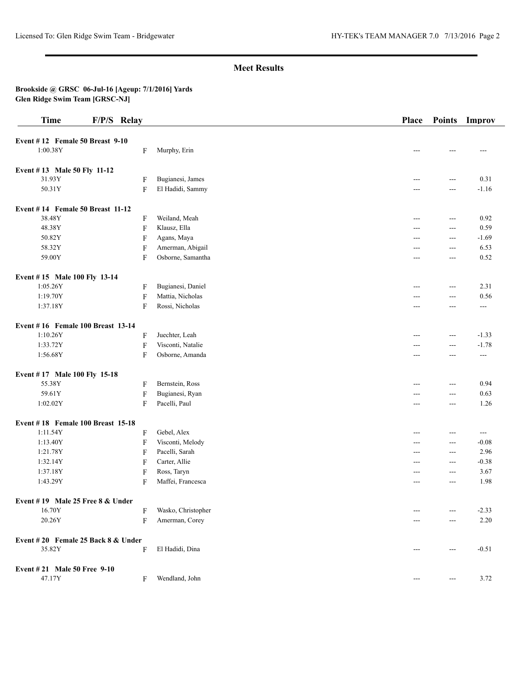## **Brookside @ GRSC 06-Jul-16 [Ageup: 7/1/2016] Yards Glen Ridge Swim Team [GRSC-NJ]**

| <b>Time</b>                         | F/P/S Relay               |                    | Place | <b>Points</b>          | Improv  |
|-------------------------------------|---------------------------|--------------------|-------|------------------------|---------|
| Event $# 12$ Female 50 Breast 9-10  |                           |                    |       |                        |         |
| 1:00.38Y                            | F                         | Murphy, Erin       |       |                        | ---     |
| Event #13 Male 50 Fly 11-12         |                           |                    |       |                        |         |
| 31.93Y                              | F                         | Bugianesi, James   | $---$ | $\overline{a}$         | 0.31    |
| 50.31Y                              | $\overline{F}$            | El Hadidi, Sammy   |       | $---$                  | $-1.16$ |
| Event $# 14$ Female 50 Breast 11-12 |                           |                    |       |                        |         |
| 38.48Y                              | $\mathbf F$               | Weiland, Meah      | $---$ | $\sim$ $\sim$          | 0.92    |
| 48.38Y                              | $\overline{F}$            | Klausz, Ella       | $---$ | $\overline{a}$         | 0.59    |
| 50.82Y                              | $\mathbf F$               | Agans, Maya        | ---   | $\overline{a}$         | $-1.69$ |
| 58.32Y                              | $\mathbf F$               | Amerman, Abigail   | ---   | $--$                   | 6.53    |
| 59.00Y                              | $\overline{F}$            | Osborne, Samantha  | $---$ | $\cdots$               | 0.52    |
| Event #15 Male 100 Fly 13-14        |                           |                    |       |                        |         |
| 1:05.26Y                            | F                         | Bugianesi, Daniel  | ---   | $\overline{a}$         | 2.31    |
| 1:19.70Y                            | $\mathbf F$               | Mattia, Nicholas   |       | $--$                   | 0.56    |
| 1:37.18Y                            | F                         | Rossi, Nicholas    | $---$ | $\qquad \qquad -$      | $---$   |
| Event #16 Female 100 Breast 13-14   |                           |                    |       |                        |         |
| 1:10.26Y                            | F                         | Juechter, Leah     | $---$ | $\overline{a}$         | $-1.33$ |
| 1:33.72Y                            | $\boldsymbol{\mathrm{F}}$ | Visconti, Natalie  |       | $---$                  | $-1.78$ |
| 1:56.68Y                            | $\mathbf{F}$              | Osborne, Amanda    | $---$ | $---$                  | $---$   |
| Event #17 Male 100 Fly 15-18        |                           |                    |       |                        |         |
| 55.38Y                              | $\mathbf F$               | Bernstein, Ross    | $---$ | $\overline{a}$         | 0.94    |
| 59.61Y                              | $\boldsymbol{\mathrm{F}}$ | Bugianesi, Ryan    | ---   | $--$                   | 0.63    |
| 1:02.02Y                            | F                         | Pacelli, Paul      | $---$ | $\cdots$               | 1.26    |
| Event #18 Female 100 Breast 15-18   |                           |                    |       |                        |         |
| 1:11.54Y                            | $\mathbf F$               | Gebel, Alex        | $---$ | $---$                  | $---$   |
| 1:13.40Y                            | $\mathbf F$               | Visconti, Melody   | ---   | $--$                   | $-0.08$ |
| 1:21.78Y                            | F                         | Pacelli, Sarah     | $---$ | $\overline{a}$         | 2.96    |
| 1:32.14Y                            | $\mathbf F$               | Carter, Allie      | ---   | $\overline{a}$         | $-0.38$ |
| 1:37.18Y                            | $\mathbf F$               | Ross, Taryn        | ---   | $\cdots$               | 3.67    |
| 1:43.29Y                            | $\mathbf{F}$              | Maffei, Francesca  | $---$ | $---$                  | 1.98    |
| Event #19 Male 25 Free 8 & Under    |                           |                    |       |                        |         |
| 16.70Y                              | F                         | Wasko, Christopher | $---$ | $---$                  | $-2.33$ |
| 20.26Y                              | $\mathbf F$               | Amerman, Corey     | ---   | $\cdots$               | 2.20    |
| Event #20 Female 25 Back 8 & Under  |                           |                    |       |                        |         |
| 35.82Y                              | F                         | El Hadidi, Dina    | $---$ | $\scriptstyle\cdots$   | $-0.51$ |
| Event #21 Male 50 Free 9-10         |                           |                    |       |                        |         |
| 47.17Y                              | F                         | Wendland, John     | $---$ | $\qquad \qquad \cdots$ | 3.72    |
|                                     |                           |                    |       |                        |         |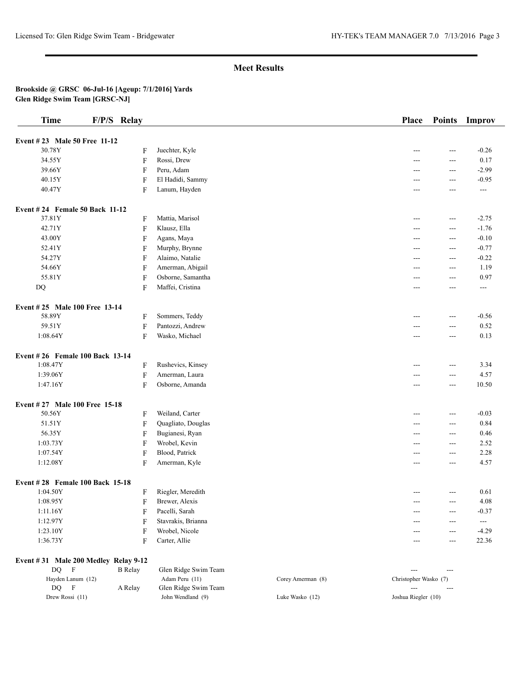### **Brookside @ GRSC 06-Jul-16 [Ageup: 7/1/2016] Yards Glen Ridge Swim Team [GRSC-NJ]**

| <b>Time</b>                           | F/P/S Relay |                           |                    | Place          | <b>Points</b>  | Improv         |
|---------------------------------------|-------------|---------------------------|--------------------|----------------|----------------|----------------|
| Event # 23 Male 50 Free 11-12         |             |                           |                    |                |                |                |
| 30.78Y                                |             | $\boldsymbol{\mathrm{F}}$ | Juechter, Kyle     | ---            | ---            | $-0.26$        |
| 34.55Y                                |             | $\mathbf F$               | Rossi, Drew        | ---            | ---            | 0.17           |
| 39.66Y                                |             | $\overline{F}$            | Peru, Adam         | ---            | $\frac{1}{2}$  | $-2.99$        |
| 40.15Y                                |             | F                         | El Hadidi, Sammy   | ---            | ---            | $-0.95$        |
| 40.47Y                                |             | $\rm F$                   | Lanum, Hayden      | ---            | ---            | $\overline{a}$ |
| <b>Event #24 Female 50 Back 11-12</b> |             |                           |                    |                |                |                |
| 37.81Y                                |             | $\boldsymbol{\mathrm{F}}$ | Mattia, Marisol    | $---$          | ---            | $-2.75$        |
| 42.71Y                                |             | $\boldsymbol{\mathrm{F}}$ | Klausz, Ella       | ---            | ---            | $-1.76$        |
| 43.00Y                                |             | $\overline{F}$            | Agans, Maya        | $---$          | $\overline{a}$ | $-0.10$        |
| 52.41Y                                |             | $\overline{F}$            | Murphy, Brynne     | ---            | $\overline{a}$ | $-0.77$        |
| 54.27Y                                |             | $\mathbf F$               | Alaimo, Natalie    | ---            | ---            | $-0.22$        |
| 54.66Y                                |             | $\mathbf F$               | Amerman, Abigail   | ---            | $---$          | 1.19           |
| 55.81Y                                |             | $\overline{F}$            | Osborne, Samantha  | $---$          | $\overline{a}$ | 0.97           |
| DQ                                    |             | $\mathbf{F}$              | Maffei, Cristina   | $\overline{a}$ | ---            | $\overline{a}$ |
| Event #25 Male 100 Free 13-14         |             |                           |                    |                |                |                |
| 58.89Y                                |             | $\boldsymbol{\mathrm{F}}$ | Sommers, Teddy     | ---            | $\frac{1}{2}$  | $-0.56$        |
| 59.51Y                                |             | $\mathbf F$               | Pantozzi, Andrew   | ---            | ---            | 0.52           |
| 1:08.64Y                              |             | $\boldsymbol{\mathrm{F}}$ | Wasko, Michael     | $- - -$        | $\overline{a}$ | 0.13           |
| Event #26 Female 100 Back 13-14       |             |                           |                    |                |                |                |
| 1:08.47Y                              |             | $\boldsymbol{\mathrm{F}}$ | Rushevics, Kinsey  | $---$          | $\overline{a}$ | 3.34           |
| 1:39.06Y                              |             | $\mathbf F$               | Amerman, Laura     | ---            | $\overline{a}$ | 4.57           |
| 1:47.16Y                              |             | $\overline{F}$            | Osborne, Amanda    | ---            | $\overline{a}$ | 10.50          |
| Event #27 Male 100 Free 15-18         |             |                           |                    |                |                |                |
| 50.56Y                                |             | $\overline{F}$            | Weiland, Carter    | ---            | $\frac{1}{2}$  | $-0.03$        |
| 51.51Y                                |             | $\mathbf F$               | Quagliato, Douglas | ---            | $---$          | 0.84           |
| 56.35Y                                |             | $\boldsymbol{\mathrm{F}}$ | Bugianesi, Ryan    | ---            | $\overline{a}$ | 0.46           |
| 1:03.73Y                              |             | $\mathbf F$               | Wrobel, Kevin      | ---            | ---            | 2.52           |
| 1:07.54Y                              |             | $\overline{F}$            | Blood, Patrick     | ---            | $ -$           | 2.28           |
| 1:12.08Y                              |             | $\mathbf{F}$              | Amerman, Kyle      | $---$          | $\frac{1}{2}$  | 4.57           |
| Event #28 Female 100 Back 15-18       |             |                           |                    |                |                |                |
| 1:04.50Y                              |             | $\mathbf{F}$              | Riegler, Meredith  | ---            | ---            | 0.61           |
| 1:08.95Y                              |             | $\mathbf F$               | Brewer, Alexis     | ---            | $\overline{a}$ | 4.08           |
| 1:11.16Y                              |             | $\boldsymbol{\mathrm{F}}$ | Pacelli, Sarah     | ---            | ---            | $-0.37$        |
| 1:12.97Y                              |             | $\overline{F}$            | Stavrakis, Brianna | $---$          | $\overline{a}$ | ---            |
| 1:23.10Y                              |             | $\mathbf F$               | Wrobel, Nicole     | ---            | $\overline{a}$ | $-4.29$        |
| 1:36.73Y                              |             | F                         | Carter, Allie      | ---            | ---            | 22.36          |

#### **Event # 31 Male 200 Medley Relay 9-12**  DQ F B Relay Glen Ridge Swim Team --- --- Hayden Lanum (12) Adam Peru (11) Corey Amerman (8) Christopher Wasko (7) DQ F A Relay Glen Ridge Swim Team --- --- Drew Rossi (11) John Wendland (9) Luke Wasko (12) Joshua Riegler (10)